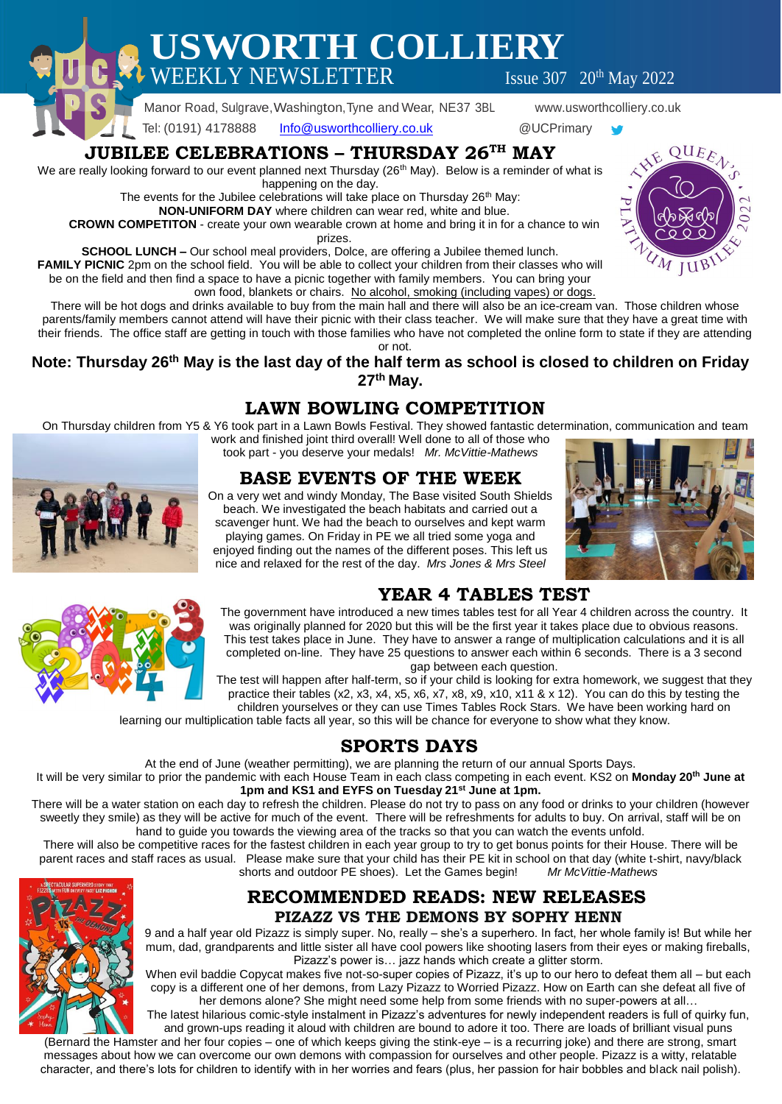**USWORTH COLLIERY**  $\text{WEEKLY NEWSLETTER}$  Issue 307 20<sup>th</sup> May 2022

Manor Road, Sulgrave,Washington,Tyne and Wear, NE37 3BL www.usworthcolliery.co.uk

Tel: (0191) 4178888 [Info@usworthcolliery.co.uk](mailto:Info@usworthcolliery.co.uk) @UCPrimary

### **JUBILEE CELEBRATIONS – THURSDAY 26TH MAY**

We are really looking forward to our event planned next Thursday (26<sup>th</sup> May). Below is a reminder of what is happening on the day.

The events for the Jubilee celebrations will take place on Thursday  $26<sup>th</sup>$  May:

**NON-UNIFORM DAY** where children can wear red, white and blue.

**CROWN COMPETITON** - create your own wearable crown at home and bring it in for a chance to win prizes.

**SCHOOL LUNCH –** Our school meal providers, Dolce, are offering a Jubilee themed lunch.

**FAMILY PICNIC** 2pm on the school field. You will be able to collect your children from their classes who will be on the field and then find a space to have a picnic together with family members. You can bring your own food, blankets or chairs. No alcohol, smoking (including vapes) or dogs.

There will be hot dogs and drinks available to buy from the main hall and there will also be an ice-cream van. Those children whose parents/family members cannot attend will have their picnic with their class teacher. We will make sure that they have a great time with

their friends. The office staff are getting in touch with those families who have not completed the online form to state if they are attending or not.

#### **Note: Thursday 26th May is the last day of the half term as school is closed to children on Friday 27th May.**

# **LAWN BOWLING COMPETITION**

On Thursday children from Y5 & Y6 took part in a Lawn Bowls Festival. They showed fantastic determination, communication and team

work and finished joint third overall! Well done to all of those who took part - you deserve your medals! *Mr. McVittie-Mathews*

# **BASE EVENTS OF THE WEEK**

On a very wet and windy Monday, The Base visited South Shields beach. We investigated the beach habitats and carried out a scavenger hunt. We had the beach to ourselves and kept warm playing games. On Friday in PE we all tried some yoga and enjoyed finding out the names of the different poses. This left us

nice and relaxed for the rest of the day. *Mrs Jones & Mrs Steel*





# **YEAR 4 TABLES TEST**

The government have introduced a new times tables test for all Year 4 children across the country. It was originally planned for 2020 but this will be the first year it takes place due to obvious reasons. This test takes place in June. They have to answer a range of multiplication calculations and it is all completed on-line. They have 25 questions to answer each within 6 seconds. There is a 3 second gap between each question.

The test will happen after half-term, so if your child is looking for extra homework, we suggest that they practice their tables (x2, x3, x4, x5, x6, x7, x8, x9, x10, x11 & x 12). You can do this by testing the children yourselves or they can use Times Tables Rock Stars. We have been working hard on

learning our multiplication table facts all year, so this will be chance for everyone to show what they know.

# **SPORTS DAYS**

At the end of June (weather permitting), we are planning the return of our annual Sports Days.

It will be very similar to prior the pandemic with each House Team in each class competing in each event. KS2 on **Monday 20th June at 1pm and KS1 and EYFS on Tuesday 21st June at 1pm.**

There will be a water station on each day to refresh the children. Please do not try to pass on any food or drinks to your children (however sweetly they smile) as they will be active for much of the event. There will be refreshments for adults to buy. On arrival, staff will be on hand to guide you towards the viewing area of the tracks so that you can watch the events unfold.

There will also be competitive races for the fastest children in each year group to try to get bonus points for their House. There will be parent races and staff races as usual. Please make sure that your child has their PE kit in school on that day (white t-shirt, navy/black<br>shorts and outdoor PE shoes). Let the Games begin! Mr McVittie-Mathews shorts and outdoor PE shoes). Let the Games begin!



#### **RECOMMENDED READS: NEW RELEASES PIZAZZ VS THE DEMONS BY SOPHY HENN**

9 and a half year old Pizazz is simply super. No, really – she's a superhero. In fact, her whole family is! But while her mum, dad, grandparents and little sister all have cool powers like shooting lasers from their eyes or making fireballs, Pizazz's power is… jazz hands which create a glitter storm.

When evil baddie Copycat makes five not-so-super copies of Pizazz, it's up to our hero to defeat them all – but each copy is a different one of her demons, from Lazy Pizazz to Worried Pizazz. How on Earth can she defeat all five of her demons alone? She might need some help from some friends with no super-powers at all…

The latest hilarious comic-style instalment in Pizazz's adventures for newly independent readers is full of quirky fun, and grown-ups reading it aloud with children are bound to adore it too. There are loads of brilliant visual puns

(Bernard the Hamster and her four copies – one of which keeps giving the stink-eye – is a recurring joke) and there are strong, smart messages about how we can overcome our own demons with compassion for ourselves and other people. Pizazz is a witty, relatable character, and there's lots for children to identify with in her worries and fears (plus, her passion for hair bobbles and black nail polish).

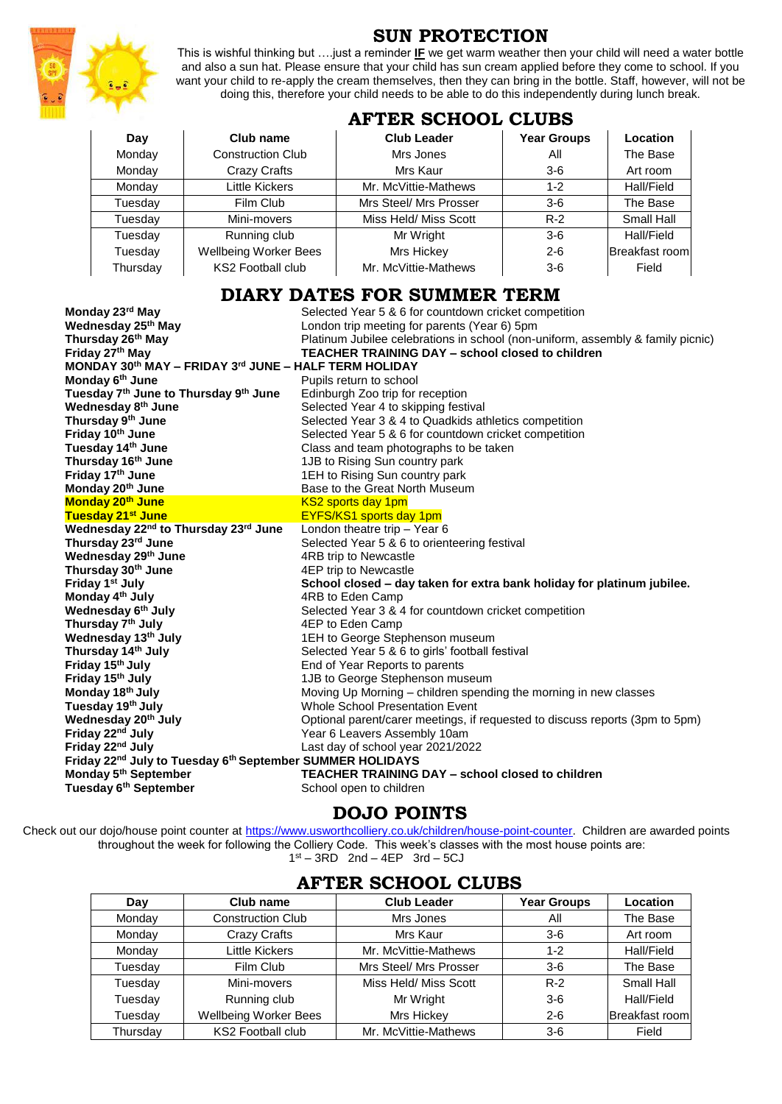

# **SUN PROTECTION**

This is wishful thinking but ….just a reminder **IF** we get warm weather then your child will need a water bottle and also a sun hat. Please ensure that your child has sun cream applied before they come to school. If you want your child to re-apply the cream themselves, then they can bring in the bottle. Staff, however, will not be doing this, therefore your child needs to be able to do this independently during lunch break.

|          | AI TER SCHOOP CPODS          |                        |                    |                 |  |  |
|----------|------------------------------|------------------------|--------------------|-----------------|--|--|
| Day      | Club name                    | <b>Club Leader</b>     | <b>Year Groups</b> | <b>Location</b> |  |  |
| Monday   | <b>Construction Club</b>     | Mrs Jones              | All                | The Base        |  |  |
| Monday   | Crazy Crafts                 | Mrs Kaur               | $3-6$              | Art room        |  |  |
| Monday   | Little Kickers               | Mr. McVittie-Mathews   | $1 - 2$            | Hall/Field      |  |  |
| Tuesdav  | Film Club                    | Mrs Steel/ Mrs Prosser | $3-6$              | The Base        |  |  |
| Tuesdav  | Mini-movers                  | Miss Held/ Miss Scott  | $R-2$              | Small Hall      |  |  |
| Tuesdav  | Running club                 | Mr Wright              | $3-6$              | Hall/Field      |  |  |
| Tuesdav  | <b>Wellbeing Worker Bees</b> | Mrs Hickey             | $2 - 6$            | Breakfast room  |  |  |
| Thursday | <b>KS2 Football club</b>     | Mr. McVittie-Mathews   | $3-6$              | Field           |  |  |

#### **AFTER SCHOOL CLUBS**

#### **DIARY DATES FOR SUMMER TERM**

| Monday 23rd May                                                                   | Selected Year 5 & 6 for countdown cricket competition                           |  |  |  |  |  |
|-----------------------------------------------------------------------------------|---------------------------------------------------------------------------------|--|--|--|--|--|
| Wednesday 25 <sup>th</sup> May                                                    | London trip meeting for parents (Year 6) 5pm                                    |  |  |  |  |  |
| Thursday 26th May                                                                 | Platinum Jubilee celebrations in school (non-uniform, assembly & family picnic) |  |  |  |  |  |
| Friday 27th May                                                                   | <b>TEACHER TRAINING DAY - school closed to children</b>                         |  |  |  |  |  |
| MONDAY 30th MAY - FRIDAY 3rd JUNE - HALF TERM HOLIDAY                             |                                                                                 |  |  |  |  |  |
| Monday 6 <sup>th</sup> June                                                       | Pupils return to school                                                         |  |  |  |  |  |
| Tuesday 7 <sup>th</sup> June to Thursday 9 <sup>th</sup> June                     | Edinburgh Zoo trip for reception                                                |  |  |  |  |  |
| Wednesday 8 <sup>th</sup> June                                                    | Selected Year 4 to skipping festival                                            |  |  |  |  |  |
| Thursday 9th June                                                                 | Selected Year 3 & 4 to Quadkids athletics competition                           |  |  |  |  |  |
| Friday 10th June                                                                  | Selected Year 5 & 6 for countdown cricket competition                           |  |  |  |  |  |
| Tuesday 14th June                                                                 | Class and team photographs to be taken                                          |  |  |  |  |  |
| Thursday 16 <sup>th</sup> June                                                    | 1JB to Rising Sun country park                                                  |  |  |  |  |  |
| Friday 17th June                                                                  | 1EH to Rising Sun country park                                                  |  |  |  |  |  |
| Monday 20th June                                                                  | Base to the Great North Museum                                                  |  |  |  |  |  |
| Monday 20 <sup>th</sup> June                                                      | <b>KS2 sports day 1pm</b>                                                       |  |  |  |  |  |
| Tuesday 21 <sup>st</sup> June                                                     | <b>EYFS/KS1 sports day 1pm</b>                                                  |  |  |  |  |  |
| Wednesday 22nd to Thursday 23rd June                                              | London theatre trip - Year 6                                                    |  |  |  |  |  |
| Thursday 23rd June                                                                | Selected Year 5 & 6 to orienteering festival                                    |  |  |  |  |  |
| Wednesday 29th June                                                               | 4RB trip to Newcastle                                                           |  |  |  |  |  |
| Thursday 30 <sup>th</sup> June                                                    | 4EP trip to Newcastle                                                           |  |  |  |  |  |
| Friday 1 <sup>st</sup> July                                                       | School closed - day taken for extra bank holiday for platinum jubilee.          |  |  |  |  |  |
| Monday 4 <sup>th</sup> July                                                       | 4RB to Eden Camp                                                                |  |  |  |  |  |
| Wednesday 6th July                                                                | Selected Year 3 & 4 for countdown cricket competition                           |  |  |  |  |  |
| Thursday 7 <sup>th</sup> July                                                     | 4EP to Eden Camp                                                                |  |  |  |  |  |
| Wednesday 13th July                                                               | 1EH to George Stephenson museum                                                 |  |  |  |  |  |
| Thursday 14th July                                                                | Selected Year 5 & 6 to girls' football festival                                 |  |  |  |  |  |
| Friday 15th July                                                                  | End of Year Reports to parents                                                  |  |  |  |  |  |
| Friday 15th July                                                                  | 1JB to George Stephenson museum                                                 |  |  |  |  |  |
| Monday 18 <sup>th</sup> July                                                      | Moving Up Morning - children spending the morning in new classes                |  |  |  |  |  |
| Tuesday 19th July                                                                 | <b>Whole School Presentation Event</b>                                          |  |  |  |  |  |
| Wednesday 20 <sup>th</sup> July                                                   | Optional parent/carer meetings, if requested to discuss reports (3pm to 5pm)    |  |  |  |  |  |
| Friday 22 <sup>nd</sup> July                                                      | Year 6 Leavers Assembly 10am                                                    |  |  |  |  |  |
| Friday 22nd July                                                                  | Last day of school year 2021/2022                                               |  |  |  |  |  |
| Friday 22 <sup>nd</sup> July to Tuesday 6 <sup>th</sup> September SUMMER HOLIDAYS |                                                                                 |  |  |  |  |  |
| Monday 5 <sup>th</sup> September                                                  | <b>TEACHER TRAINING DAY – school closed to children</b>                         |  |  |  |  |  |
| Tuesday 6 <sup>th</sup> September                                                 | School open to children                                                         |  |  |  |  |  |

### **DOJO POINTS**

Check out our dojo/house point counter at [https://www.usworthcolliery.co.uk/children/house-point-counter.](https://www.usworthcolliery.co.uk/children/house-point-counter) Children are awarded points throughout the week for following the Colliery Code. This week's classes with the most house points are: 1 st – 3RD 2nd – 4EP 3rd – 5CJ

| Day      | Club name                    | <b>Club Leader</b>     | <b>Year Groups</b> | Location       |  |  |  |  |
|----------|------------------------------|------------------------|--------------------|----------------|--|--|--|--|
| Monday   | <b>Construction Club</b>     | Mrs Jones              | All                | The Base       |  |  |  |  |
| Monday   | Crazy Crafts                 | Mrs Kaur               | $3-6$              | Art room       |  |  |  |  |
| Monday   | Little Kickers               | Mr. McVittie-Mathews   | $1 - 2$            | Hall/Field     |  |  |  |  |
| Tuesday  | Film Club                    | Mrs Steel/ Mrs Prosser | $3-6$              | The Base       |  |  |  |  |
| Tuesday  | Mini-movers                  | Miss Held/ Miss Scott  | $R-2$              | Small Hall     |  |  |  |  |
| Tuesday  | Running club                 | Mr Wright              | $3-6$              | Hall/Field     |  |  |  |  |
| Tuesday  | <b>Wellbeing Worker Bees</b> | Mrs Hickey             | $2 - 6$            | Breakfast room |  |  |  |  |
| Thursdav | <b>KS2 Football club</b>     | Mr. McVittie-Mathews   | $3-6$              | Field          |  |  |  |  |

### **AFTER SCHOOL CLUBS**